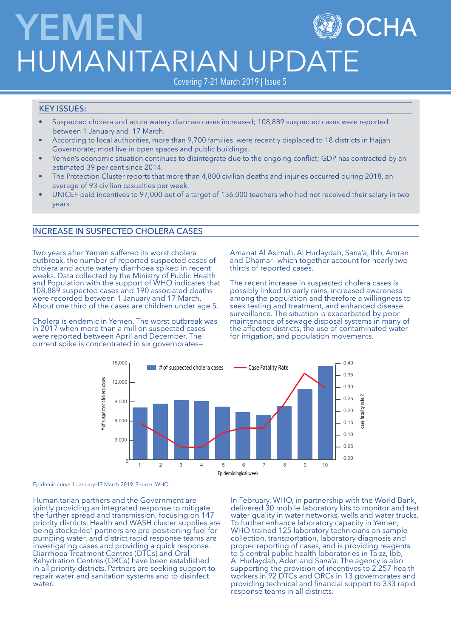# **YEMEN** OCHA HUMANITARIAN UPDA

Covering 7-21 March 2019 | Issue 5

# KEY ISSUES:

- Suspected cholera and acute watery diarrhea cases increased; 108,889 suspected cases were reported between 1 January and 17 March.
- According to local authorities, more than 9,700 families were recently displaced to 18 districts in Hajjah Governorate; most live in open spaces and public buildings.
- Yemen's economic situation continues to disintegrate due to the ongoing conflict; GDP has contracted by an estimated 39 per cent since 2014.
- The Protection Cluster reports that more than 4,800 civilian deaths and injuries occurred during 2018, an average of 93 civilian casualties per week.
- UNICEF paid incentives to 97,000 out of a target of 136,000 teachers who had not received their salary in two years.

# INCREASE IN SUSPECTED CHOLERA CASES

Two years after Yemen suffered its worst cholera outbreak, the number of reported suspected cases of cholera and acute watery diarrhoea spiked in recent weeks. Data collected by the Ministry of Public Health and Population with the support of WHO indicates that 108,889 suspected cases and 190 associated deaths were recorded between 1 January and 17 March. About one third of the cases are children under age 5.

Cholera is endemic in Yemen. The worst outbreak was in 2017 when more than a million suspected cases were reported between April and December. The current spike is concentrated in six governoratesAmanat Al Asimah, Al Hudaydah, Sana'a, Ibb, Amran and Dhamar—which together account for nearly two thirds of reported cases.

The recent increase in suspected cholera cases is possibly linked to early rains, increased awareness among the population and therefore a willingness to seek testing and treatment, and enhanced disease surveillance. The situation is exacerbated by poor maintenance of sewage disposal systems in many of the affected districts, the use of contaminated water for irrigation, and population movements.



Epidemic curve 1 January-17 March 2019. Source: WHO

Humanitarian partners and the Government are jointly providing an integrated response to mitigate the further spread and transmission, focusing on 147 priority districts. Health and WASH cluster supplies are being stockpiled' partners are pre-positioning fuel for pumping water, and district rapid response teams are investigating cases and providing a quick response. Diarrhoea Treatment Centres (DTCs) and Oral Rehydration Centres (ORCs) have been established in all priority districts. Partners are seeking support to repair water and sanitation systems and to disinfect water.

In February, WHO, in partnership with the World Bank, delivered 30 mobile laboratory kits to monitor and test water quality in water networks, wells and water trucks. To further enhance laboratory capacity in Yemen, WHO trained 125 laboratory technicians on sample collection, transportation, laboratory diagnosis and proper reporting of cases, and is providing reagents to 5 central public health laboratories in Taizz, Ibb, Al Hudaydah, Aden and Sana'a. The agency is also supporting the provision of incentives to 2,257 health workers in 92 DTCs and ORCs in 13 governorates and providing technical and financial support to 333 rapid response teams in all districts.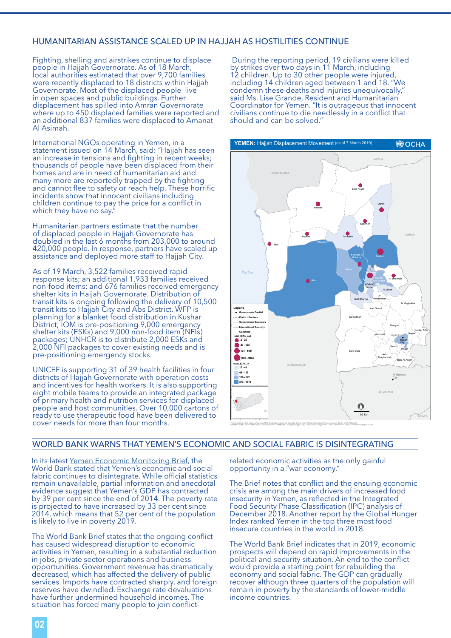## HUMANITARIAN ASSISTANCE SCALED UP IN HAJJAH AS HOSTILITIES CONTINUE

Fighting, shelling and airstrikes continue to displace people in Hajjah Governorate. As of 18 March, local authorities estimated that over 9,700 families were recently displaced to 18 districts within Hajjah Governorate. Most of the displaced people live in open spaces and public buildings. Further displacement has spilled into Amran Governorate where up to 450 displaced families were reported and an additional 837 families were displaced to Amanat Al Asimah.

International NGOs operating in Yemen, in a statement issued on 14 March, said: "Hajjah has seen an increase in tensions and fighting in recent weeks; thousands of people have been displaced from their homes and are in need of humanitarian aid and many more are reportedly trapped by the fighting and cannot flee to safety or reach help. These horrific incidents show that innocent civilians including children continue to pay the price for a conflict in which they have no say.

Humanitarian partners estimate that the number of displaced people in Hajjah Governorate has doubled in the last 6 months from 203,000 to around 420,000 people. In response, partners have scaled up assistance and deployed more staff to Hajjah City.

As of 19 March, 3,522 families received rapid response kits; an additional 1,933 families received non-food items; and 676 families received emergency shelter kits in Hajjah Governorate. Distribution of transit kits is ongoing following the delivery of 10,500 transit kits to Hajjah City and Abs District. WFP is planning for a blanket food distribution in Kushar District; IOM is pre-positioning 9,000 emergency shelter kits (ESKs) and 9,000 non-food item (NFIs) packages; UNHCR is to distribute 2,000 ESKs and 2,000 NFI packages to cover existing needs and is pre-positioning emergency stocks.

UNICEF is supporting 31 of 39 health facilities in four districts of Hajjah Governorate with operation costs and incentives for health workers. It is also supporting eight mobile teams to provide an integrated package of primary health and nutrition services for displaced people and host communities. Over 10,000 cartons of ready to use therapeutic food have been delivered to cover needs for more than four months.

 During the reporting period, 19 civilians were killed by strikes over two days in 11 March, including 12 children. Up to 30 other people were injured, including 14 children aged between 1 and 18. "We condemn these deaths and injuries unequivocally," said Ms. Lise Grande, Resident and Humanitarian Coordinator for Yemen. "It is outrageous that innocent civilians continue to die needlessly in a conflict that should and can be solved."



The boundaries and names shown and the designations used on this map do not imply official endorsement or acceptance by the United Nations.<br>Creation date: 3/9/2019Sources: GoY/MoLA/CSO\_Feedback: ochayemen@un.org `www.unoch

#### WORLD BANK WARNS THAT YEMEN'S ECONOMIC AND SOCIAL FABRIC IS DISINTEGRATING

In its latest [Yemen Economic Monitoring Brief,](https://reliefweb.int/sites/reliefweb.int/files/resources/135266-YemEconDevBrief-Winter-2019-English-12-Mar-19.pdf) the World Bank stated that Yemen's economic and social fabric continues to disintegrate. While official statistics remain unavailable, partial information and anecdotal evidence suggest that Yemen's GDP has contracted by 39 per cent since the end of 2014. The poverty rate is projected to have increased by 33 per cent since 2014, which means that 52 per cent of the population is likely to live in poverty 2019.

The World Bank Brief states that the ongoing conflict has caused widespread disruption to economic activities in Yemen, resulting in a substantial reduction in jobs, private sector operations and business opportunities. Government revenue has dramatically decreased, which has affected the delivery of public services. Imports have contracted sharply, and foreign reserves have dwindled. Exchange rate devaluations have further undermined household incomes. The situation has forced many people to join conflict-

related economic activities as the only gainful opportunity in a "war economy."

The Brief notes that conflict and the ensuing economic crisis are among the main drivers of increased food insecurity in Yemen, as reflected in the Integrated Food Security Phase Classification (IPC) analysis of December 2018. Another report by the Global Hunger Index ranked Yemen in the top three most food insecure countries in the world in 2018.

The World Bank Brief indicates that in 2019, economic prospects will depend on rapid improvements in the political and security situation. An end to the conflict would provide a starting point for rebuilding the economy and social fabric. The GDP can gradually recover although three quarters of the population will remain in poverty by the standards of lower-middle income countries.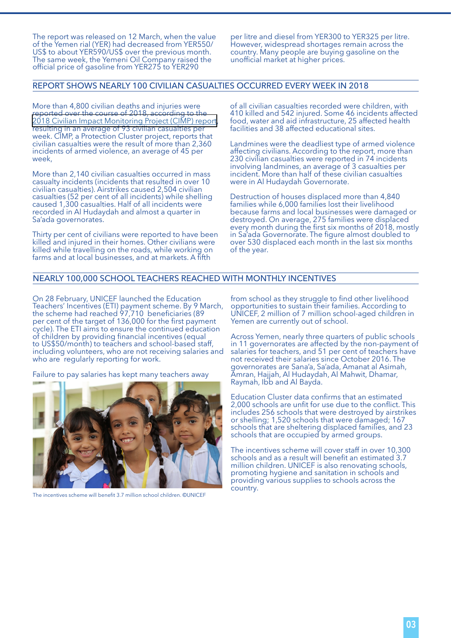The report was released on 12 March, when the value of the Yemen rial (YER) had decreased from YER550/ US\$ to about YER590/US\$ over the previous month. The same week, the Yemeni Oil Company raised the official price of gasoline from YER275 to YER290

per litre and diesel from YER300 to YER325 per litre. However, widespread shortages remain across the country. Many people are buying gasoline on the unofficial market at higher prices.

#### REPORT SHOWS NEARLY 100 CIVILIAN CASUALTIES OCCURRED EVERY WEEK IN 2018

More than 4,800 civilian deaths and injuries were reported over the course of 2018, according to the [2018 Civilian Impact Monitoring Project \(CIMP\) report](https://www.humanitarianresponse.info/sites/www.humanitarianresponse.info/files/documents/files/civilian_impact_monitoring_report_annual_2018.pdf), resulting in an average of 93 civilian casualties per week. CIMP, a Protection Cluster project, reports that civilian casualties were the result of more than 2,360 incidents of armed violence, an average of 45 per week,

More than 2,140 civilian casualties occurred in mass casualty incidents (incidents that resulted in over 10 civilian casualties). Airstrikes caused 2,504 civilian casualties (52 per cent of all incidents) while shelling caused 1,300 casualties. Half of all incidents were recorded in Al Hudaydah and almost a quarter in Sa'ada governorates.

Thirty per cent of civilians were reported to have been killed and injured in their homes. Other civilians were killed while travelling on the roads, while working on farms and at local businesses, and at markets. A fifth

of all civilian casualties recorded were children, with 410 killed and 542 injured. Some 46 incidents affected food, water and aid infrastructure, 25 affected health facilities and 38 affected educational sites.

Landmines were the deadliest type of armed violence affecting civilians. According to the report, more than 230 civilian casualties were reported in 74 incidents involving landmines, an average of 3 casualties per incident. More than half of these civilian casualties were in Al Hudaydah Governorate.

Destruction of houses displaced more than 4,840 families while 6,000 families lost their livelihood because farms and local businesses were damaged or destroyed. On average, 275 families were displaced every month during the first six months of 2018, mostly in Sa'ada Governorate. The figure almost doubled to over 530 displaced each month in the last six months of the year.

#### NEARLY 100,000 SCHOOL TEACHERS REACHED WITH MONTHLY INCENTIVES

On 28 February, UNICEF launched the Education Teachers' Incentives (ETI) payment scheme. By 9 March, the scheme had reached 97,710 beneficiaries (89 per cent of the target of 136,000 for the first payment cycle). The ETI aims to ensure the continued education of children by providing financial incentives (equal to US\$50/month) to teachers and school-based staff, including volunteers, who are not receiving salaries and who are regularly reporting for work.

Failure to pay salaries has kept many teachers away



The incentives scheme will benefit 3.7 million school children. ©UNICEF

from school as they struggle to find other livelihood opportunities to sustain their families. According to UNICEF, 2 million of 7 million school-aged children in Yemen are currently out of school.

Across Yemen, nearly three quarters of public schools in 11 governorates are affected by the non-payment of salaries for teachers, and 51 per cent of teachers have not received their salaries since October 2016. The governorates are Sana'a, Sa'ada, Amanat al Asimah, Amran, Hajjah, Al Hudaydah, Al Mahwit, Dhamar, Raymah, Ibb and Al Bayda.

Education Cluster data confirms that an estimated 2,000 schools are unfit for use due to the conflict. This includes 256 schools that were destroyed by airstrikes or shelling; 1,520 schools that were damaged; 167 schools that are sheltering displaced families, and 23 schools that are occupied by armed groups.

The incentives scheme will cover staff in over 10,300 schools and as a result will benefit an estimated 3.7 million children. UNICEF is also renovating schools, promoting hygiene and sanitation in schools and providing various supplies to schools across the country.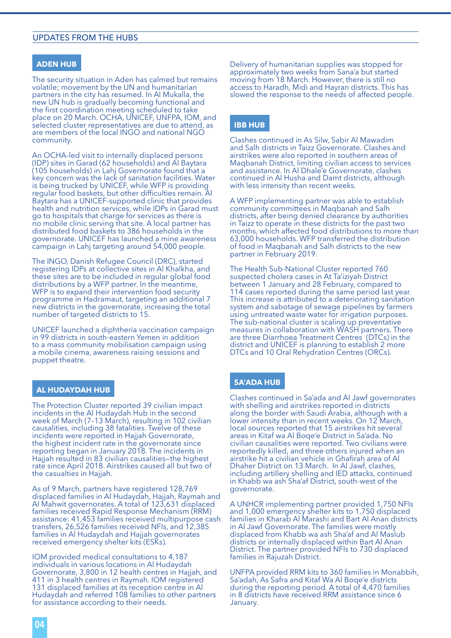## UPDATES FROM THE HUBS

### **ADEN HUB**

The security situation in Aden has calmed but remains volatile; movement by the UN and humanitarian partners in the city has resumed. In Al Mukalla, the new UN hub is gradually becoming functional and the first coordination meeting scheduled to take place on 20 March. OCHA, UNICEF, UNFPA, IOM, and selected cluster representatives are due to attend, as are members of the local INGO and national NGO community.

An OCHA-led visit to internally displaced persons (IDP) sites in Garad (62 households) and Al Baytara (105 households) in Lahj Governorate found that a key concern was the lack of sanitation facilities. Water is being trucked by UNICEF, while WFP is providing regular food baskets, but other difficulties remain. Al Baytara has a UNICEF-supported clinic that provides health and nutrition services, while IDPs in Garad must go to hospitals that charge for services as there is no mobile clinic serving that site. A local partner has distributed food baskets to 386 households in the governorate. UNICEF has launched a mine awareness campaign in Lahj targeting around 54,000 people.

The INGO, Danish Refugee Council (DRC), started registering IDPs at collective sites in Al Khalkha, and these sites are to be included in regular global food distributions by a WFP partner. In the meantime, WFP is to expand their intervention food security programme in Hadramaut, targeting an additional 7 new districts in the governorate, increasing the total number of targeted districts to 15.

UNICEF launched a diphtheria vaccination campaign in 99 districts in south-eastern Yemen in addition to a mass community mobilisation campaign using a mobile cinema, awareness raising sessions and puppet theatre.

#### **AL HUDAYDAH HUB**

The Protection Cluster reported 39 civilian impact incidents in the Al Hudaydah Hub in the second week of March (7–13 March), resulting in 102 civilian causalities, including 38 fatalities. Twelve of these incidents were reported in Hajjah Governorate, the highest incident rate in the governorate since reporting began in January 2018. The incidents in Hajjah resulted in 83 civilian causalities—the highest rate since April 2018. Airstrikes caused all but two of the casualties in Hajjah.

As of 9 March, partners have registered 128,769 displaced families in Al Hudaydah, Hajjah, Raymah and Al Mahwit governorates. A total of 123,631 displaced families received Rapid Response Mechanism (RRM) assistance: 41,453 families received multipurpose cash transfers, 26,526 families received NFIs, and 12,385 families in Al Hudaydah and Hajjah governorates received emergency shelter kits (ESKs).

IOM provided medical consultations to 4,187 individuals in various locations in Al Hudaydah Governorate, 3,800 in 12 health centres in Hajjah, and 411 in 3 health centres in Raymah. IOM registered 131 displaced families at its reception centre in Al Hudaydah and referred 108 families to other partners for assistance according to their needs.

Delivery of humanitarian supplies was stopped for approximately two weeks from Sana'a but started moving from 18 March. However, there is still no access to Haradh, Midi and Hayran districts. This has slowed the response to the needs of affected people.

# **IBB HUB**

Clashes continued in As Silw, Sabir Al Mawadim and Salh districts in Taizz Governorate. Clashes and airstrikes were also reported in southern areas of Maqbanah District, limiting civilian access to services and assistance. In Al Dhale'e Governorate, clashes continued in Al Husha and Damt districts, although with less intensity than recent weeks.

A WFP implementing partner was able to establish community committees in Maqbanah and Salh districts, after being denied clearance by authorities in Taizz to operate in these districts for the past two months, which affected food distributions to more than 63,000 households. WFP transferred the distribution of food in Maqbanah and Salh districts to the new partner in February 2019.

The Health Sub-National Cluster reported 760 suspected cholera cases in At Ta'iziyah District between 1 January and 28 February, compared to 114 cases reported during the same period last year. This increase is attributed to a deteriorating sanitation system and sabotage of sewage pipelines by farmers using untreated waste water for irrigation purposes. The sub-national cluster is scaling up preventative measures in collaboration with WASH partners. There are three Diarrhoea Treatment Centres (DTCs) in the district and UNICEF is planning to establish 2 more DTCs and 10 Oral Rehydration Centres (ORCs).

#### **SA'ADA HUB**

Clashes continued in Sa'ada and Al Jawf governorates with shelling and airstrikes reported in districts along the border with Saudi Arabia, although with a lower intensity than in recent weeks. On 12 March, local sources reported that 15 airstrikes hit several areas in Kitaf wa Al Boqe'e District in Sa'ada. No civilian causalities were reported. Two civilians were reportedly killed, and three others injured when an airstrike hit a civilian vehicle in Ghafirah area of Al Dhaher District on 13 March. In Al Jawf, clashes, including artillery shelling and IED attacks, continued in Khabb wa ash Sha'af District, south-west of the governorate.

A UNHCR implementing partner provided 1,750 NFIs and 1,000 emergency shelter kits to 1,750 displaced families in Kharab Al Marashi and Bart Al Anan districts in Al Jawf Governorate. The families were mostly displaced from Khabb wa ash Sha'af and Al Maslub districts or internally displaced within Bart Al Anan District. The partner provided NFIs to 730 displaced families in Rajuzah District.

UNFPA provided RRM kits to 360 families in Monabbih, Sa'adah, As Safra and Kitaf Wa Al Boqe'e districts during the reporting period. A total of 4,470 families in 8 districts have received RRM assistance since 6 January.